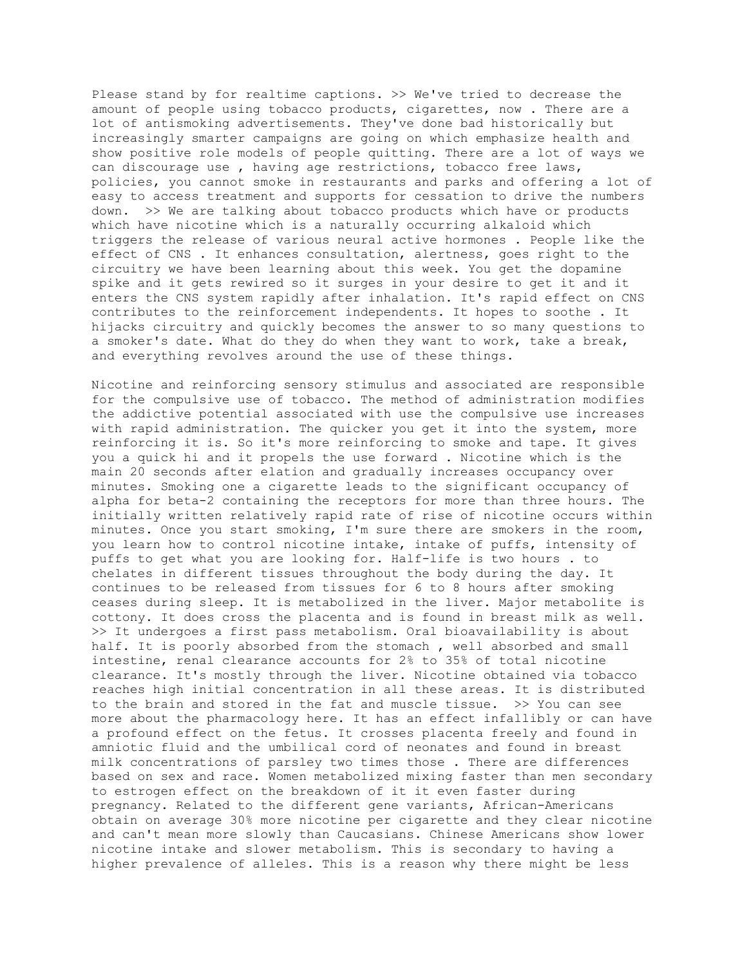Please stand by for realtime captions. >> We've tried to decrease the amount of people using tobacco products, cigarettes, now . There are a lot of antismoking advertisements. They've done bad historically but increasingly smarter campaigns are going on which emphasize health and show positive role models of people quitting. There are a lot of ways we can discourage use , having age restrictions, tobacco free laws, policies, you cannot smoke in restaurants and parks and offering a lot of easy to access treatment and supports for cessation to drive the numbers down. >> We are talking about tobacco products which have or products which have nicotine which is a naturally occurring alkaloid which triggers the release of various neural active hormones . People like the effect of CNS . It enhances consultation, alertness, goes right to the circuitry we have been learning about this week. You get the dopamine spike and it gets rewired so it surges in your desire to get it and it enters the CNS system rapidly after inhalation. It's rapid effect on CNS contributes to the reinforcement independents. It hopes to soothe . It hijacks circuitry and quickly becomes the answer to so many questions to a smoker's date. What do they do when they want to work, take a break, and everything revolves around the use of these things.

Nicotine and reinforcing sensory stimulus and associated are responsible for the compulsive use of tobacco. The method of administration modifies the addictive potential associated with use the compulsive use increases with rapid administration. The quicker you get it into the system, more reinforcing it is. So it's more reinforcing to smoke and tape. It gives you a quick hi and it propels the use forward . Nicotine which is the main 20 seconds after elation and gradually increases occupancy over minutes. Smoking one a cigarette leads to the significant occupancy of alpha for beta-2 containing the receptors for more than three hours. The initially written relatively rapid rate of rise of nicotine occurs within minutes. Once you start smoking, I'm sure there are smokers in the room, you learn how to control nicotine intake, intake of puffs, intensity of puffs to get what you are looking for. Half-life is two hours . to chelates in different tissues throughout the body during the day. It continues to be released from tissues for 6 to 8 hours after smoking ceases during sleep. It is metabolized in the liver. Major metabolite is cottony. It does cross the placenta and is found in breast milk as well. >> It undergoes a first pass metabolism. Oral bioavailability is about half. It is poorly absorbed from the stomach, well absorbed and small intestine, renal clearance accounts for 2% to 35% of total nicotine clearance. It's mostly through the liver. Nicotine obtained via tobacco reaches high initial concentration in all these areas. It is distributed to the brain and stored in the fat and muscle tissue. >> You can see more about the pharmacology here. It has an effect infallibly or can have a profound effect on the fetus. It crosses placenta freely and found in amniotic fluid and the umbilical cord of neonates and found in breast milk concentrations of parsley two times those . There are differences based on sex and race. Women metabolized mixing faster than men secondary to estrogen effect on the breakdown of it it even faster during pregnancy. Related to the different gene variants, African-Americans obtain on average 30% more nicotine per cigarette and they clear nicotine and can't mean more slowly than Caucasians. Chinese Americans show lower nicotine intake and slower metabolism. This is secondary to having a higher prevalence of alleles. This is a reason why there might be less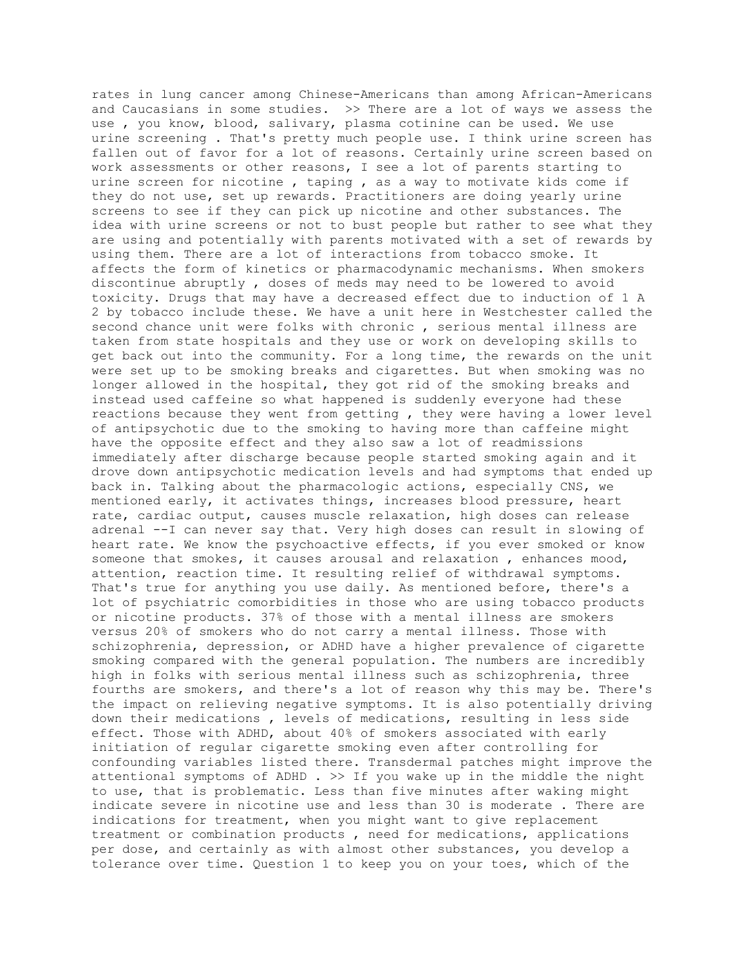rates in lung cancer among Chinese-Americans than among African-Americans and Caucasians in some studies. >> There are a lot of ways we assess the use , you know, blood, salivary, plasma cotinine can be used. We use urine screening . That's pretty much people use. I think urine screen has fallen out of favor for a lot of reasons. Certainly urine screen based on work assessments or other reasons, I see a lot of parents starting to urine screen for nicotine , taping , as a way to motivate kids come if they do not use, set up rewards. Practitioners are doing yearly urine screens to see if they can pick up nicotine and other substances. The idea with urine screens or not to bust people but rather to see what they are using and potentially with parents motivated with a set of rewards by using them. There are a lot of interactions from tobacco smoke. It affects the form of kinetics or pharmacodynamic mechanisms. When smokers discontinue abruptly , doses of meds may need to be lowered to avoid toxicity. Drugs that may have a decreased effect due to induction of 1 A 2 by tobacco include these. We have a unit here in Westchester called the second chance unit were folks with chronic , serious mental illness are taken from state hospitals and they use or work on developing skills to get back out into the community. For a long time, the rewards on the unit were set up to be smoking breaks and cigarettes. But when smoking was no longer allowed in the hospital, they got rid of the smoking breaks and instead used caffeine so what happened is suddenly everyone had these reactions because they went from getting , they were having a lower level of antipsychotic due to the smoking to having more than caffeine might have the opposite effect and they also saw a lot of readmissions immediately after discharge because people started smoking again and it drove down antipsychotic medication levels and had symptoms that ended up back in. Talking about the pharmacologic actions, especially CNS, we mentioned early, it activates things, increases blood pressure, heart rate, cardiac output, causes muscle relaxation, high doses can release adrenal --I can never say that. Very high doses can result in slowing of heart rate. We know the psychoactive effects, if you ever smoked or know someone that smokes, it causes arousal and relaxation , enhances mood, attention, reaction time. It resulting relief of withdrawal symptoms. That's true for anything you use daily. As mentioned before, there's a lot of psychiatric comorbidities in those who are using tobacco products or nicotine products. 37% of those with a mental illness are smokers versus 20% of smokers who do not carry a mental illness. Those with schizophrenia, depression, or ADHD have a higher prevalence of cigarette smoking compared with the general population. The numbers are incredibly high in folks with serious mental illness such as schizophrenia, three fourths are smokers, and there's a lot of reason why this may be. There's the impact on relieving negative symptoms. It is also potentially driving down their medications , levels of medications, resulting in less side effect. Those with ADHD, about 40% of smokers associated with early initiation of regular cigarette smoking even after controlling for confounding variables listed there. Transdermal patches might improve the attentional symptoms of ADHD . >> If you wake up in the middle the night to use, that is problematic. Less than five minutes after waking might indicate severe in nicotine use and less than 30 is moderate . There are indications for treatment, when you might want to give replacement treatment or combination products , need for medications, applications per dose, and certainly as with almost other substances, you develop a tolerance over time. Question 1 to keep you on your toes, which of the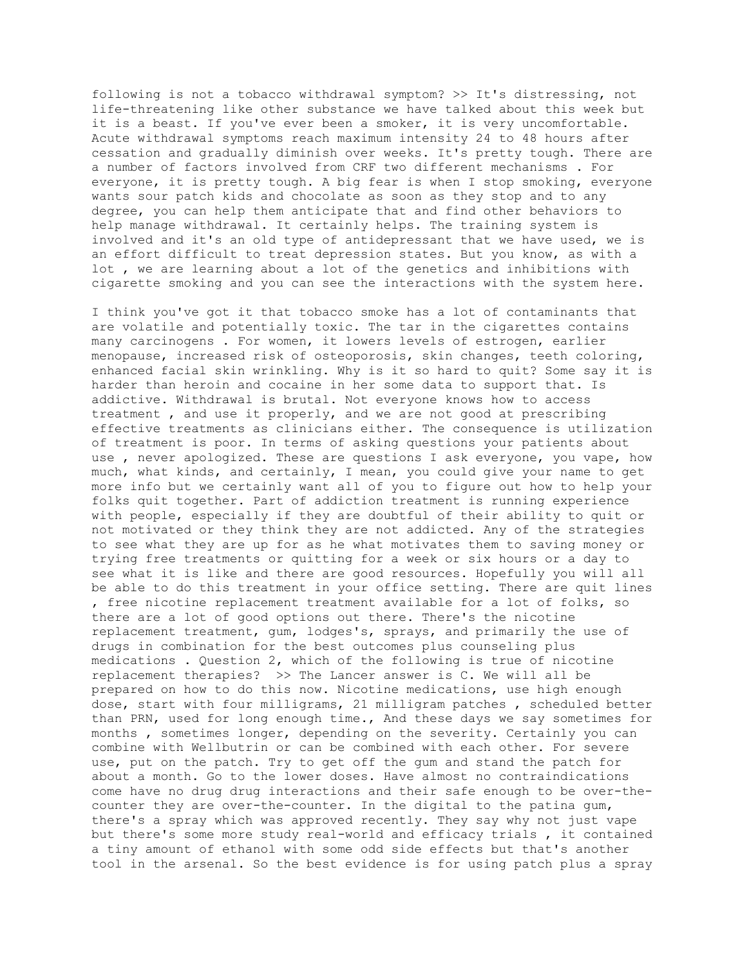following is not a tobacco withdrawal symptom? >> It's distressing, not life-threatening like other substance we have talked about this week but it is a beast. If you've ever been a smoker, it is very uncomfortable. Acute withdrawal symptoms reach maximum intensity 24 to 48 hours after cessation and gradually diminish over weeks. It's pretty tough. There are a number of factors involved from CRF two different mechanisms . For everyone, it is pretty tough. A big fear is when I stop smoking, everyone wants sour patch kids and chocolate as soon as they stop and to any degree, you can help them anticipate that and find other behaviors to help manage withdrawal. It certainly helps. The training system is involved and it's an old type of antidepressant that we have used, we is an effort difficult to treat depression states. But you know, as with a lot , we are learning about a lot of the genetics and inhibitions with cigarette smoking and you can see the interactions with the system here.

I think you've got it that tobacco smoke has a lot of contaminants that are volatile and potentially toxic. The tar in the cigarettes contains many carcinogens . For women, it lowers levels of estrogen, earlier menopause, increased risk of osteoporosis, skin changes, teeth coloring, enhanced facial skin wrinkling. Why is it so hard to quit? Some say it is harder than heroin and cocaine in her some data to support that. Is addictive. Withdrawal is brutal. Not everyone knows how to access treatment , and use it properly, and we are not good at prescribing effective treatments as clinicians either. The consequence is utilization of treatment is poor. In terms of asking questions your patients about use , never apologized. These are questions I ask everyone, you vape, how much, what kinds, and certainly, I mean, you could give your name to get more info but we certainly want all of you to figure out how to help your folks quit together. Part of addiction treatment is running experience with people, especially if they are doubtful of their ability to quit or not motivated or they think they are not addicted. Any of the strategies to see what they are up for as he what motivates them to saving money or trying free treatments or quitting for a week or six hours or a day to see what it is like and there are good resources. Hopefully you will all be able to do this treatment in your office setting. There are quit lines , free nicotine replacement treatment available for a lot of folks, so there are a lot of good options out there. There's the nicotine replacement treatment, gum, lodges's, sprays, and primarily the use of drugs in combination for the best outcomes plus counseling plus medications . Question 2, which of the following is true of nicotine replacement therapies? >> The Lancer answer is C. We will all be prepared on how to do this now. Nicotine medications, use high enough dose, start with four milligrams, 21 milligram patches , scheduled better than PRN, used for long enough time., And these days we say sometimes for months , sometimes longer, depending on the severity. Certainly you can combine with Wellbutrin or can be combined with each other. For severe use, put on the patch. Try to get off the gum and stand the patch for about a month. Go to the lower doses. Have almost no contraindications come have no drug drug interactions and their safe enough to be over-thecounter they are over-the-counter. In the digital to the patina gum, there's a spray which was approved recently. They say why not just vape but there's some more study real-world and efficacy trials , it contained a tiny amount of ethanol with some odd side effects but that's another tool in the arsenal. So the best evidence is for using patch plus a spray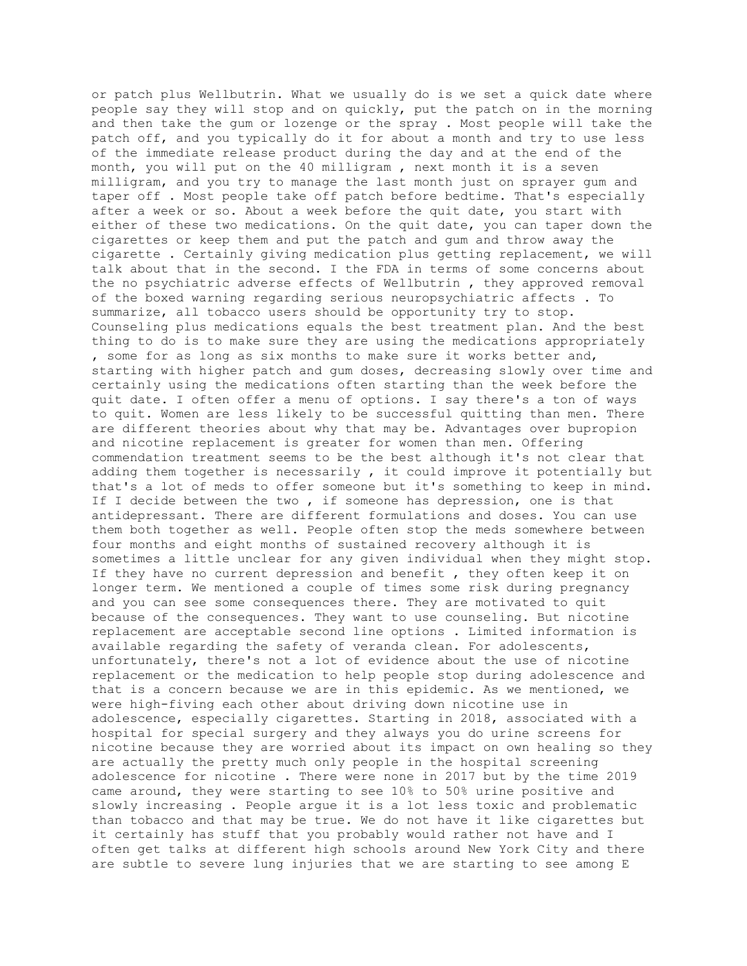or patch plus Wellbutrin. What we usually do is we set a quick date where people say they will stop and on quickly, put the patch on in the morning and then take the gum or lozenge or the spray . Most people will take the patch off, and you typically do it for about a month and try to use less of the immediate release product during the day and at the end of the month, you will put on the 40 milligram , next month it is a seven milligram, and you try to manage the last month just on sprayer gum and taper off . Most people take off patch before bedtime. That's especially after a week or so. About a week before the quit date, you start with either of these two medications. On the quit date, you can taper down the cigarettes or keep them and put the patch and gum and throw away the cigarette . Certainly giving medication plus getting replacement, we will talk about that in the second. I the FDA in terms of some concerns about the no psychiatric adverse effects of Wellbutrin , they approved removal of the boxed warning regarding serious neuropsychiatric affects . To summarize, all tobacco users should be opportunity try to stop. Counseling plus medications equals the best treatment plan. And the best thing to do is to make sure they are using the medications appropriately , some for as long as six months to make sure it works better and, starting with higher patch and gum doses, decreasing slowly over time and certainly using the medications often starting than the week before the quit date. I often offer a menu of options. I say there's a ton of ways to quit. Women are less likely to be successful quitting than men. There are different theories about why that may be. Advantages over bupropion and nicotine replacement is greater for women than men. Offering commendation treatment seems to be the best although it's not clear that adding them together is necessarily , it could improve it potentially but that's a lot of meds to offer someone but it's something to keep in mind. If I decide between the two, if someone has depression, one is that antidepressant. There are different formulations and doses. You can use them both together as well. People often stop the meds somewhere between four months and eight months of sustained recovery although it is sometimes a little unclear for any given individual when they might stop. If they have no current depression and benefit , they often keep it on longer term. We mentioned a couple of times some risk during pregnancy and you can see some consequences there. They are motivated to quit because of the consequences. They want to use counseling. But nicotine replacement are acceptable second line options . Limited information is available regarding the safety of veranda clean. For adolescents, unfortunately, there's not a lot of evidence about the use of nicotine replacement or the medication to help people stop during adolescence and that is a concern because we are in this epidemic. As we mentioned, we were high-fiving each other about driving down nicotine use in adolescence, especially cigarettes. Starting in 2018, associated with a hospital for special surgery and they always you do urine screens for nicotine because they are worried about its impact on own healing so they are actually the pretty much only people in the hospital screening adolescence for nicotine . There were none in 2017 but by the time 2019 came around, they were starting to see 10% to 50% urine positive and slowly increasing . People argue it is a lot less toxic and problematic than tobacco and that may be true. We do not have it like cigarettes but it certainly has stuff that you probably would rather not have and I often get talks at different high schools around New York City and there are subtle to severe lung injuries that we are starting to see among E